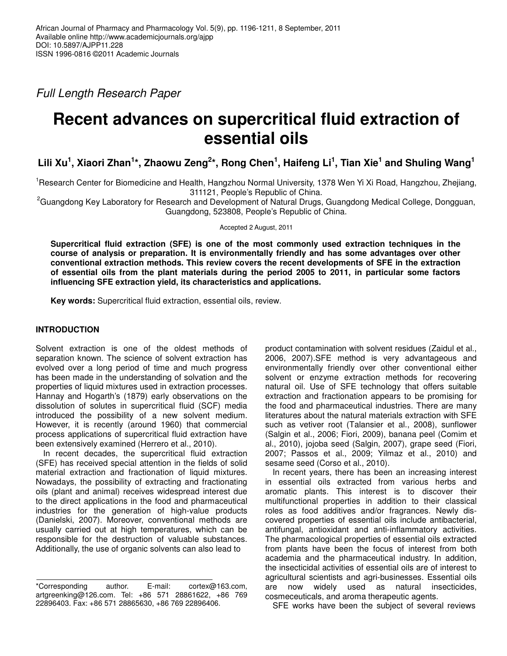*Full Length Research Paper*

# **Recent advances on supercritical fluid extraction of essential oils**

Lili Xu<sup>1</sup>, Xiaori Zhan<sup>1</sup>\*, Zhaowu Zeng<sup>2</sup>\*, Rong Chen<sup>1</sup>, Haifeng Li<sup>1</sup>, Tian Xie<sup>1</sup> and Shuling Wang<sup>1</sup>

<sup>1</sup>Research Center for Biomedicine and Health, Hangzhou Normal University, 1378 Wen Yi Xi Road, Hangzhou, Zhejiang, 311121, People's Republic of China.

<sup>2</sup>Guangdong Key Laboratory for Research and Development of Natural Drugs, Guangdong Medical College, Dongguan, Guangdong, 523808, People's Republic of China.

Accepted 2 August, 2011

**Supercritical fluid extraction (SFE) is one of the most commonly used extraction techniques in the course of analysis or preparation. It is environmentally friendly and has some advantages over other conventional extraction methods. This review covers the recent developments of SFE in the extraction of essential oils from the plant materials during the period 2005 to 2011, in particular some factors influencing SFE extraction yield, its characteristics and applications.**

**Key words:** Supercritical fluid extraction, essential oils, review.

### **INTRODUCTION**

Solvent extraction is one of the oldest methods of separation known. The science of solvent extraction has evolved over a long period of time and much progress has been made in the understanding of solvation and the properties of liquid mixtures used in extraction processes. Hannay and Hogarth's (1879) early observations on the dissolution of solutes in supercritical fluid (SCF) media introduced the possibility of a new solvent medium. However, it is recently (around 1960) that commercial process applications of supercritical fluid extraction have been extensively examined (Herrero et al., 2010).

In recent decades, the supercritical fluid extraction (SFE) has received special attention in the fields of solid material extraction and fractionation of liquid mixtures. Nowadays, the possibility of extracting and fractionating oils (plant and animal) receives widespread interest due to the direct applications in the food and pharmaceutical industries for the generation of high-value products (Danielski, 2007). Moreover, conventional methods are usually carried out at high temperatures, which can be responsible for the destruction of valuable substances. Additionally, the use of organic solvents can also lead to

\*Corresponding author. E-mail: cortex@163.com, artgreenking@126.com. Tel: +86 571 28861622, +86 769 22896403. Fax: +86 571 28865630, +86 769 22896406.

product contamination with solvent residues (Zaidul et al., 2006, 2007).SFE method is very advantageous and environmentally friendly over other conventional either solvent or enzyme extraction methods for recovering natural oil. Use of SFE technology that offers suitable extraction and fractionation appears to be promising for the food and pharmaceutical industries. There are many literatures about the natural materials extraction with SFE such as vetiver root (Talansier et al., 2008), sunflower (Salgin et al., 2006; Fiori, 2009), banana peel (Comim et al., 2010), jojoba seed (Salgin, 2007), grape seed (Fiori, 2007; Passos et al., 2009; Yilmaz et al., 2010) and sesame seed (Corso et al., 2010).

In recent years, there has been an increasing interest in essential oils extracted from various herbs and aromatic plants. This interest is to discover their multifunctional properties in addition to their classical roles as food additives and/or fragrances. Newly discovered properties of essential oils include antibacterial, antifungal, antioxidant and anti-inflammatory activities. The pharmacological properties of essential oils extracted from plants have been the focus of interest from both academia and the pharmaceutical industry. In addition, the insecticidal activities of essential oils are of interest to agricultural scientists and agri-businesses. Essential oils are now widely used as natural insecticides, cosmeceuticals, and aroma therapeutic agents.

SFE works have been the subject of several reviews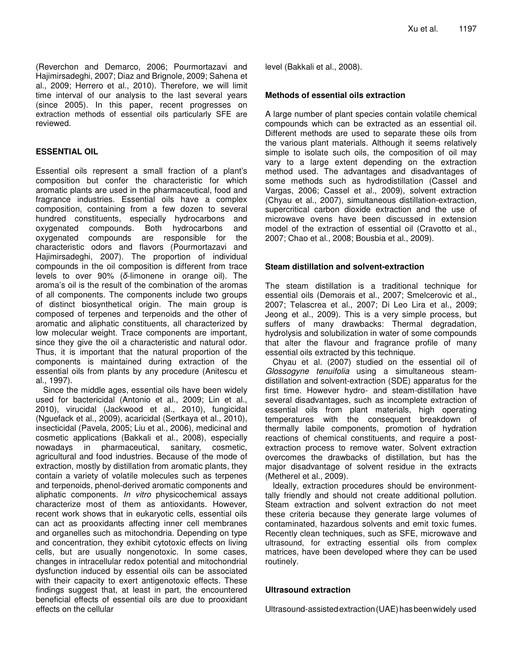time interval of our analysis to the last several years (since 2005). In this paper, recent progresses on extraction methods of essential oils particularly SFE are reviewed.

### **ESSENTIAL OIL**

Essential oils represent a small fraction of a plant's composition but confer the characteristic for which aromatic plants are used in the pharmaceutical, food and fragrance industries. Essential oils have a complex composition, containing from a few dozen to several hundred constituents, especially hydrocarbons and oxygenated compounds. Both hydrocarbons and oxygenated compounds are responsible for the characteristic odors and flavors (Pourmortazavi and Hajimirsadeghi, 2007). The proportion of individual compounds in the oil composition is different from trace levels to over  $90\%$  ( $\delta$ -limonene in orange oil). The aroma's oil is the result of the combination of the aromas of all components. The components include two groups of distinct biosynthetical origin. The main group is composed of terpenes and terpenoids and the other of aromatic and aliphatic constituents, all characterized by low molecular weight. Trace components are important, since they give the oil a characteristic and natural odor. Thus, it is important that the natural proportion of the components is maintained during extraction of the essential oils from plants by any procedure (Anitescu et al., 1997).

Since the middle ages, essential oils have been widely used for bactericidal (Antonio et al., 2009; Lin et al., 2010), virucidal (Jackwood et al., 2010), fungicidal (Nguefack et al., 2009), acaricidal (Sertkaya et al., 2010), insecticidal (Pavela, 2005; Liu et al., 2006), medicinal and cosmetic applications (Bakkali et al., 2008), especially nowadays in pharmaceutical, sanitary, cosmetic, agricultural and food industries. Because of the mode of extraction, mostly by distillation from aromatic plants, they contain a variety of volatile molecules such as terpenes and terpenoids, phenol-derived aromatic components and aliphatic components. *In vitro* physicochemical assays characterize most of them as antioxidants. However, recent work shows that in eukaryotic cells, essential oils can act as prooxidants affecting inner cell membranes and organelles such as mitochondria. Depending on type and concentration, they exhibit cytotoxic effects on living cells, but are usually nongenotoxic. In some cases, changes in intracellular redox potential and mitochondrial dysfunction induced by essential oils can be associated with their capacity to exert antigenotoxic effects. These findings suggest that, at least in part, the encountered beneficial effects of essential oils are due to prooxidant effects on the cellular

level (Bakkali et al., 2008).

#### **Methods of essential oils extraction**

A large number of plant species contain volatile chemical compounds which can be extracted as an essential oil. Different methods are used to separate these oils from the various plant materials. Although it seems relatively simple to isolate such oils, the composition of oil may vary to a large extent depending on the extraction method used. The advantages and disadvantages of some methods such as hydrodistillation (Cassel and Vargas, 2006; Cassel et al., 2009), solvent extraction (Chyau et al., 2007), simultaneous distillation-extraction, supercritical carbon dioxide extraction and the use of microwave ovens have been discussed in extension model of the extraction of essential oil (Cravotto et al., 2007; Chao et al., 2008; Bousbia et al., 2009).

## **Steam distillation and solvent-extraction**

The steam distillation is a traditional technique for essential oils (Demorais et al., 2007; Smelcerovic et al., 2007; Telascrea et al., 2007; Di Leo Lira et al., 2009; Jeong et al., 2009). This is a very simple process, but suffers of many drawbacks: Thermal degradation, hydrolysis and solubilization in water of some compounds that alter the flavour and fragrance profile of many essential oils extracted by this technique.

Chyau et al. (2007) studied on the essential oil of *Glossogyne tenuifolia* using a simultaneous steamdistillation and solvent-extraction (SDE) apparatus for the first time. However hydro- and steam-distillation have several disadvantages, such as incomplete extraction of essential oils from plant materials, high operating temperatures with the consequent breakdown of thermally labile components, promotion of hydration reactions of chemical constituents, and require a postextraction process to remove water. Solvent extraction overcomes the drawbacks of distillation, but has the major disadvantage of solvent residue in the extracts (Metherel et al., 2009).

Ideally, extraction procedures should be environmenttally friendly and should not create additional pollution. Steam extraction and solvent extraction do not meet these criteria because they generate large volumes of contaminated, hazardous solvents and emit toxic fumes. Recently clean techniques, such as SFE, microwave and ultrasound, for extracting essential oils from complex matrices, have been developed where they can be used routinely.

## **Ultrasound extraction**

Ultrasound-assistedextraction(UAE)hasbeenwidely used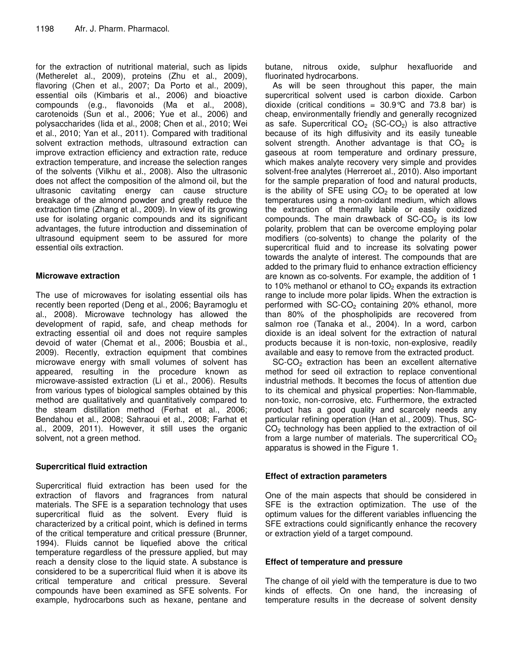for the extraction of nutritional material, such as lipids (Metherelet al., 2009), proteins (Zhu et al., 2009), flavoring (Chen et al., 2007; Da Porto et al., 2009), essential oils (Kimbaris et al., 2006) and bioactive compounds (e.g., flavonoids (Ma et al., 2008), carotenoids (Sun et al., 2006; Yue et al., 2006) and polysaccharides (Iida et al., 2008; Chen et al., 2010; Wei et al., 2010; Yan et al., 2011). Compared with traditional solvent extraction methods, ultrasound extraction can improve extraction efficiency and extraction rate, reduce extraction temperature, and increase the selection ranges of the solvents (Vilkhu et al., 2008). Also the ultrasonic does not affect the composition of the almond oil, but the ultrasonic cavitating energy can cause structure breakage of the almond powder and greatly reduce the extraction time (Zhang et al., 2009). In view of its growing use for isolating organic compounds and its significant advantages, the future introduction and dissemination of ultrasound equipment seem to be assured for more essential oils extraction.

#### **Microwave extraction**

The use of microwaves for isolating essential oils has recently been reported (Deng et al., 2006; Bayramoglu et al., 2008). Microwave technology has allowed the development of rapid, safe, and cheap methods for extracting essential oil and does not require samples devoid of water (Chemat et al., 2006; Bousbia et al., 2009). Recently, extraction equipment that combines microwave energy with small volumes of solvent has appeared, resulting in the procedure known as microwave-assisted extraction (Li et al., 2006). Results from various types of biological samples obtained by this method are qualitatively and quantitatively compared to the steam distillation method (Ferhat et al., 2006; Bendahou et al., 2008; Sahraoui et al., 2008; Farhat et al., 2009, 2011). However, it still uses the organic solvent, not a green method.

## **Supercritical fluid extraction**

Supercritical fluid extraction has been used for the extraction of flavors and fragrances from natural materials. The SFE is a separation technology that uses supercritical fluid as the solvent. Every fluid is characterized by a critical point, which is defined in terms of the critical temperature and critical pressure (Brunner, 1994). Fluids cannot be liquefied above the critical temperature regardless of the pressure applied, but may reach a density close to the liquid state. A substance is considered to be a supercritical fluid when it is above its critical temperature and critical pressure. Several compounds have been examined as SFE solvents. For example, hydrocarbons such as hexane, pentane and butane, nitrous oxide, sulphur hexafluoride and fluorinated hydrocarbons.

As will be seen throughout this paper, the main supercritical solvent used is carbon dioxide. Carbon dioxide (critical conditions =  $30.9^{\circ}$ C and 73.8 bar) is cheap, environmentally friendly and generally recognized as safe. Supercritical  $CO<sub>2</sub>$  (SC-CO<sub>2</sub>) is also attractive because of its high diffusivity and its easily tuneable solvent strength. Another advantage is that  $CO<sub>2</sub>$  is gaseous at room temperature and ordinary pressure, which makes analyte recovery very simple and provides solvent-free analytes (Herreroet al., 2010). Also important for the sample preparation of food and natural products, is the ability of SFE using  $CO<sub>2</sub>$  to be operated at low temperatures using a non-oxidant medium, which allows the extraction of thermally labile or easily oxidized compounds. The main drawback of  $SC-CO<sub>2</sub>$  is its low polarity, problem that can be overcome employing polar modifiers (co-solvents) to change the polarity of the supercritical fluid and to increase its solvating power towards the analyte of interest. The compounds that are added to the primary fluid to enhance extraction efficiency are known as co-solvents. For example, the addition of 1 to 10% methanol or ethanol to  $CO<sub>2</sub>$  expands its extraction range to include more polar lipids. When the extraction is performed with  $SC-CO<sub>2</sub>$  containing 20% ethanol, more than 80% of the phospholipids are recovered from salmon roe (Tanaka et al., 2004). In a word, carbon dioxide is an ideal solvent for the extraction of natural products because it is non-toxic, non-explosive, readily available and easy to remove from the extracted product.

SC-CO<sub>2</sub> extraction has been an excellent alternative method for seed oil extraction to replace conventional industrial methods. It becomes the focus of attention due to its chemical and physical properties: Non-flammable, non-toxic, non-corrosive, etc. Furthermore, the extracted product has a good quality and scarcely needs any particular refining operation (Han et al., 2009). Thus, SC- $CO<sub>2</sub>$  technology has been applied to the extraction of oil from a large number of materials. The supercritical  $CO<sub>2</sub>$ apparatus is showed in the Figure 1.

## **Effect of extraction parameters**

One of the main aspects that should be considered in SFE is the extraction optimization. The use of the optimum values for the different variables influencing the SFE extractions could significantly enhance the recovery or extraction yield of a target compound.

#### **Effect of temperature and pressure**

The change of oil yield with the temperature is due to two kinds of effects. On one hand, the increasing of temperature results in the decrease of solvent density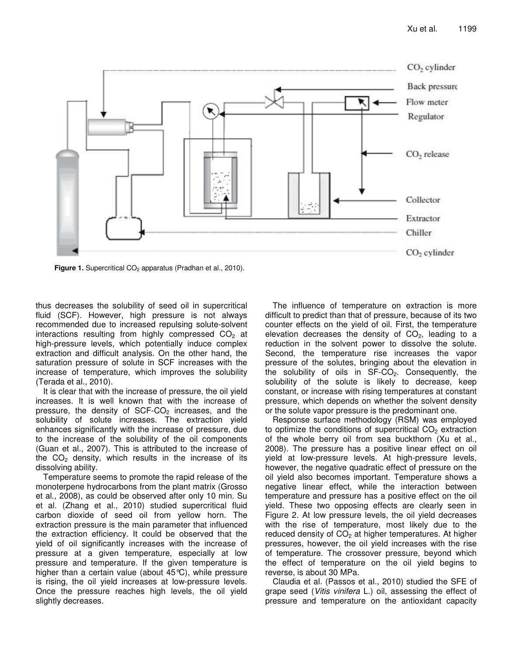

**Figure 1.** Supercritical CO<sub>2</sub> apparatus (Pradhan et al., 2010).

thus decreases the solubility of seed oil in supercritical fluid (SCF). However, high pressure is not always recommended due to increased repulsing solute-solvent interactions resulting from highly compressed  $CO<sub>2</sub>$  at high-pressure levels, which potentially induce complex extraction and difficult analysis. On the other hand, the saturation pressure of solute in SCF increases with the increase of temperature, which improves the solubility (Terada et al., 2010).

It is clear that with the increase of pressure, the oil yield increases. It is well known that with the increase of pressure, the density of  $SCF-CO<sub>2</sub>$  increases, and the solubility of solute increases. The extraction yield enhances significantly with the increase of pressure, due to the increase of the solubility of the oil components (Guan et al., 2007). This is attributed to the increase of the  $CO<sub>2</sub>$  density, which results in the increase of its dissolving ability.

Temperature seems to promote the rapid release of the monoterpene hydrocarbons from the plant matrix (Grosso et al., 2008), as could be observed after only 10 min. Su et al. (Zhang et al., 2010) studied supercritical fluid carbon dioxide of seed oil from yellow horn. The extraction pressure is the main parameter that influenced the extraction efficiency. It could be observed that the yield of oil significantly increases with the increase of pressure at a given temperature, especially at low pressure and temperature. If the given temperature is higher than a certain value (about 45°C), while pressure is rising, the oil yield increases at low-pressure levels. Once the pressure reaches high levels, the oil yield slightly decreases.

The influence of temperature on extraction is more difficult to predict than that of pressure, because of its two counter effects on the yield of oil. First, the temperature elevation decreases the density of  $CO<sub>2</sub>$ , leading to a reduction in the solvent power to dissolve the solute. Second, the temperature rise increases the vapor pressure of the solutes, bringing about the elevation in the solubility of oils in  $SF-CO<sub>2</sub>$ . Consequently, the solubility of the solute is likely to decrease, keep constant, or increase with rising temperatures at constant pressure, which depends on whether the solvent density or the solute vapor pressure is the predominant one.

Response surface methodology (RSM) was employed to optimize the conditions of supercritical  $CO<sub>2</sub>$  extraction of the whole berry oil from sea buckthorn (Xu et al., 2008). The pressure has a positive linear effect on oil yield at low-pressure levels. At high-pressure levels, however, the negative quadratic effect of pressure on the oil yield also becomes important. Temperature shows a negative linear effect, while the interaction between temperature and pressure has a positive effect on the oil yield. These two opposing effects are clearly seen in Figure 2. At low pressure levels, the oil yield decreases with the rise of temperature, most likely due to the reduced density of  $CO<sub>2</sub>$  at higher temperatures. At higher pressures, however, the oil yield increases with the rise of temperature. The crossover pressure, beyond which the effect of temperature on the oil yield begins to reverse, is about 30 MPa.

Claudia et al. (Passos et al., 2010) studied the SFE of grape seed (*Vitis vinifera* L.) oil, assessing the effect of pressure and temperature on the antioxidant capacity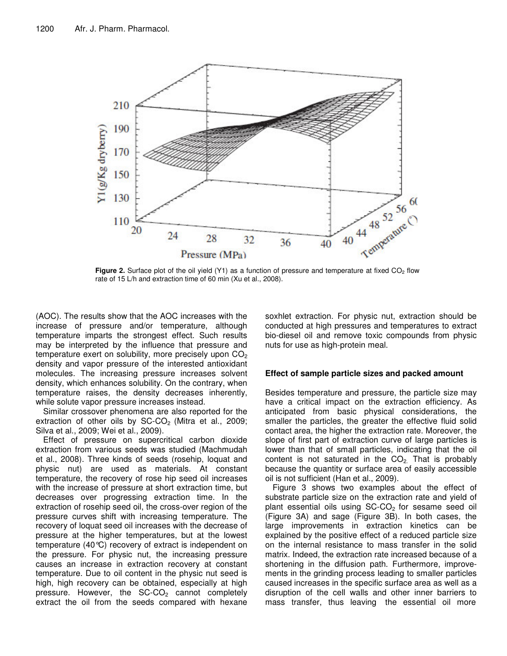

rate of 15 L/h and extraction time of 60 min (Xu et al., 2008).

(AOC). The results show that the AOC increases with the increase of pressure and/or temperature, although temperature imparts the strongest effect. Such results may be interpreted by the influence that pressure and temperature exert on solubility, more precisely upon  $CO<sub>2</sub>$ density and vapor pressure of the interested antioxidant molecules. The increasing pressure increases solvent density, which enhances solubility. On the contrary, when temperature raises, the density decreases inherently, while solute vapor pressure increases instead.

Similar crossover phenomena are also reported for the extraction of other oils by  $SC\text{-}CO<sub>2</sub>$  (Mitra et al., 2009; Silva et al., 2009; Wei et al., 2009).

Effect of pressure on supercritical carbon dioxide extraction from various seeds was studied (Machmudah et al., 2008). Three kinds of seeds (rosehip, loquat and physic nut) are used as materials. At constant temperature, the recovery of rose hip seed oil increases with the increase of pressure at short extraction time, but decreases over progressing extraction time. In the extraction of rosehip seed oil, the cross-over region of the pressure curves shift with increasing temperature. The recovery of loquat seed oil increases with the decrease of pressure at the higher temperatures, but at the lowest temperature (40°C) recovery of extract is independent on the pressure. For physic nut, the increasing pressure causes an increase in extraction recovery at constant temperature. Due to oil content in the physic nut seed is high, high recovery can be obtained, especially at high pressure. However, the  $SC-CO<sub>2</sub>$  cannot completely extract the oil from the seeds compared with hexane soxhlet extraction. For physic nut, extraction should be conducted at high pressures and temperatures to extract bio-diesel oil and remove toxic compounds from physic nuts for use as high-protein meal.

#### **Effect of sample particle sizes and packed amount**

Besides temperature and pressure, the particle size may have a critical impact on the extraction efficiency. As anticipated from basic physical considerations, the smaller the particles, the greater the effective fluid solid contact area, the higher the extraction rate. Moreover, the slope of first part of extraction curve of large particles is lower than that of small particles, indicating that the oil content is not saturated in the  $CO<sub>2</sub>$ . That is probably because the quantity or surface area of easily accessible oil is not sufficient (Han et al., 2009).

Figure 3 shows two examples about the effect of substrate particle size on the extraction rate and yield of plant essential oils using  $SC\text{-}CO<sub>2</sub>$  for sesame seed oil (Figure 3A) and sage (Figure 3B). In both cases, the large improvements in extraction kinetics can be explained by the positive effect of a reduced particle size on the internal resistance to mass transfer in the solid matrix. Indeed, the extraction rate increased because of a shortening in the diffusion path. Furthermore, improvements in the grinding process leading to smaller particles caused increases in the specific surface area as well as a disruption of the cell walls and other inner barriers to mass transfer, thus leaving the essential oil more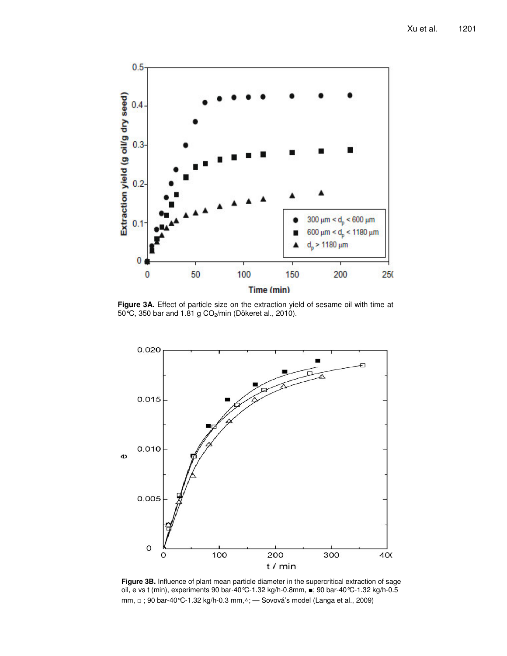

**Figure 3A.** Effect of particle size on the extraction yield of sesame oil with time at 50°C, 350 bar and 1.81 g CO2/min (Dökeret al., 2010).



**Figure 3B.** Influence of plant mean particle diameter in the supercritical extraction of sage oil, e vs t (min), experiments 90 bar-40 °C-1.32 kg/h-0.8mm, ■; 90 bar-40 °C-1.32 kg/h-0.5 mm, □ ; 90 bar-40℃-1.32 kg/h-0.3 mm,△; — Sovová's model (Langa et al., 2009)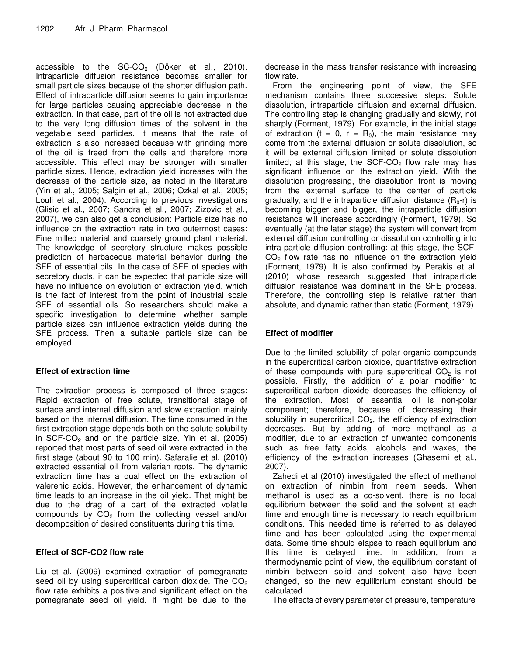accessible to the  $SC-CO<sub>2</sub>$  (Döker et al., 2010). Intraparticle diffusion resistance becomes smaller for small particle sizes because of the shorter diffusion path. Effect of intraparticle diffusion seems to gain importance for large particles causing appreciable decrease in the extraction. In that case, part of the oil is not extracted due to the very long diffusion times of the solvent in the vegetable seed particles. It means that the rate of extraction is also increased because with grinding more of the oil is freed from the cells and therefore more accessible. This effect may be stronger with smaller particle sizes. Hence, extraction yield increases with the decrease of the particle size, as noted in the literature (Yin et al., 2005; Salgin et al., 2006; Ozkal et al., 2005; Louli et al., 2004). According to previous investigations (Glisic et al., 2007; Sandra et al., 2007; Zizovic et al., 2007), we can also get a conclusion: Particle size has no influence on the extraction rate in two outermost cases: Fine milled material and coarsely ground plant material. The knowledge of secretory structure makes possible prediction of herbaceous material behavior during the SFE of essential oils. In the case of SFE of species with secretory ducts, it can be expected that particle size will have no influence on evolution of extraction yield, which is the fact of interest from the point of industrial scale SFE of essential oils. So researchers should make a specific investigation to determine whether sample particle sizes can influence extraction yields during the SFE process. Then a suitable particle size can be employed.

## **Effect of extraction time**

The extraction process is composed of three stages: Rapid extraction of free solute, transitional stage of surface and internal diffusion and slow extraction mainly based on the internal diffusion. The time consumed in the first extraction stage depends both on the solute solubility in  $SCF-CO<sub>2</sub>$  and on the particle size. Yin et al. (2005) reported that most parts of seed oil were extracted in the first stage (about 90 to 100 min). Safaralie et al. (2010) extracted essential oil from valerian roots. The dynamic extraction time has a dual effect on the extraction of valerenic acids. However, the enhancement of dynamic time leads to an increase in the oil yield. That might be due to the drag of a part of the extracted volatile compounds by  $CO<sub>2</sub>$  from the collecting vessel and/or decomposition of desired constituents during this time.

## **Effect of SCF-CO2 flow rate**

Liu et al. (2009) examined extraction of pomegranate seed oil by using supercritical carbon dioxide. The  $CO<sub>2</sub>$ flow rate exhibits a positive and significant effect on the pomegranate seed oil yield. It might be due to the

decrease in the mass transfer resistance with increasing flow rate.

From the engineering point of view, the SFE mechanism contains three successive steps: Solute dissolution, intraparticle diffusion and external diffusion. The controlling step is changing gradually and slowly, not sharply (Forment, 1979). For example, in the initial stage of extraction (t = 0, r =  $R_0$ ), the main resistance may come from the external diffusion or solute dissolution, so it will be external diffusion limited or solute dissolution limited; at this stage, the SCF-CO<sub>2</sub> flow rate may has significant influence on the extraction yield. With the dissolution progressing, the dissolution front is moving from the external surface to the center of particle gradually, and the intraparticle diffusion distance  $(R_0-r)$  is becoming bigger and bigger, the intraparticle diffusion resistance will increase accordingly (Forment, 1979). So eventually (at the later stage) the system will convert from external diffusion controlling or dissolution controlling into intra-particle diffusion controlling; at this stage, the SCF- $CO<sub>2</sub>$  flow rate has no influence on the extraction yield (Forment, 1979). It is also confirmed by Perakis et al. (2010) whose research suggested that intraparticle diffusion resistance was dominant in the SFE process. Therefore, the controlling step is relative rather than absolute, and dynamic rather than static (Forment, 1979).

## **Effect of modifier**

Due to the limited solubility of polar organic compounds in the supercritical carbon dioxide, quantitative extraction of these compounds with pure supercritical  $CO<sub>2</sub>$  is not possible. Firstly, the addition of a polar modifier to supercritical carbon dioxide decreases the efficiency of the extraction. Most of essential oil is non-polar component; therefore, because of decreasing their solubility in supercritical  $CO<sub>2</sub>$ , the efficiency of extraction decreases. But by adding of more methanol as a modifier, due to an extraction of unwanted components such as free fatty acids, alcohols and waxes, the efficiency of the extraction increases (Ghasemi et al., 2007).

Zahedi et al (2010) investigated the effect of methanol on extraction of nimbin from neem seeds. When methanol is used as a co-solvent, there is no local equilibrium between the solid and the solvent at each time and enough time is necessary to reach equilibrium conditions. This needed time is referred to as delayed time and has been calculated using the experimental data. Some time should elapse to reach equilibrium and this time is delayed time. In addition, from a thermodynamic point of view, the equilibrium constant of nimbin between solid and solvent also have been changed, so the new equilibrium constant should be calculated.

The effects of every parameter of pressure, temperature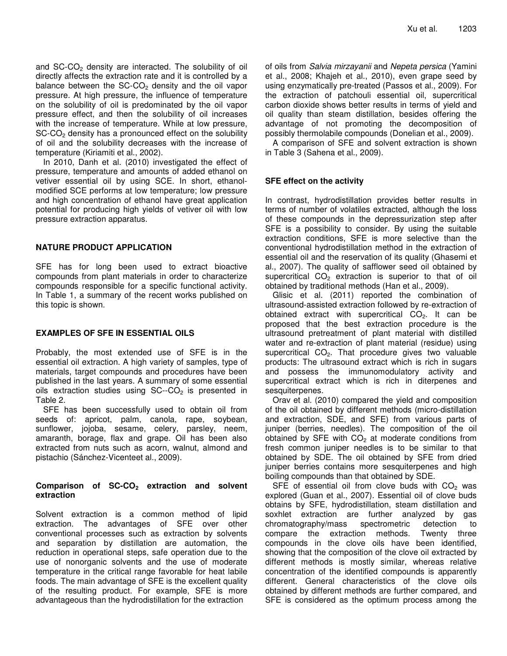and SC-CO<sub>2</sub> density are interacted. The solubility of oil directly affects the extraction rate and it is controlled by a balance between the  $SC-CO<sub>2</sub>$  density and the oil vapor pressure. At high pressure, the influence of temperature on the solubility of oil is predominated by the oil vapor pressure effect, and then the solubility of oil increases with the increase of temperature. While at low pressure, SC-CO<sub>2</sub> density has a pronounced effect on the solubility of oil and the solubility decreases with the increase of temperature (Kiriamiti et al., 2002).

In 2010, Danh et al. (2010) investigated the effect of pressure, temperature and amounts of added ethanol on vetiver essential oil by using SCE. In short, ethanolmodified SCE performs at low temperature; low pressure and high concentration of ethanol have great application potential for producing high yields of vetiver oil with low pressure extraction apparatus.

#### **NATURE PRODUCT APPLICATION**

SFE has for long been used to extract bioactive compounds from plant materials in order to characterize compounds responsible for a specific functional activity. In Table 1, a summary of the recent works published on this topic is shown.

#### **EXAMPLES OF SFE IN ESSENTIAL OILS**

Probably, the most extended use of SFE is in the essential oil extraction. A high variety of samples, type of materials, target compounds and procedures have been published in the last years. A summary of some essential oils extraction studies using  $SC-CO<sub>2</sub>$  is presented in Table 2.

SFE has been successfully used to obtain oil from seeds of: apricot, palm, canola, rape, soybean, sunflower, jojoba, sesame, celery, parsley, neem, amaranth, borage, flax and grape. Oil has been also extracted from nuts such as acorn, walnut, almond and pistachio (Sánchez-Vicenteet al., 2009).

#### **Comparison of SC-CO<sup>2</sup> extraction and solvent extraction**

Solvent extraction is a common method of lipid extraction. The advantages of SFE over other conventional processes such as extraction by solvents and separation by distillation are automation, the reduction in operational steps, safe operation due to the use of nonorganic solvents and the use of moderate temperature in the critical range favorable for heat labile foods. The main advantage of SFE is the excellent quality of the resulting product. For example, SFE is more advantageous than the hydrodistillation for the extraction

of oils from *Salvia mirzayanii* and *Nepeta persica* (Yamini et al., 2008; Khajeh et al., 2010), even grape seed by using enzymatically pre-treated (Passos et al., 2009). For the extraction of patchouli essential oil, supercritical carbon dioxide shows better results in terms of yield and oil quality than steam distillation, besides offering the advantage of not promoting the decomposition of possibly thermolabile compounds (Donelian et al., 2009).

A comparison of SFE and solvent extraction is shown in Table 3 (Sahena et al., 2009).

#### **SFE effect on the activity**

In contrast, hydrodistillation provides better results in terms of number of volatiles extracted, although the loss of these compounds in the depressurization step after SFE is a possibility to consider. By using the suitable extraction conditions, SFE is more selective than the conventional hydrodistillation method in the extraction of essential oil and the reservation of its quality (Ghasemi et al., 2007). The quality of safflower seed oil obtained by supercritical  $CO<sub>2</sub>$  extraction is superior to that of oil obtained by traditional methods (Han et al., 2009).

Glisic et al. (2011) reported the combination of ultrasound-assisted extraction followed by re-extraction of obtained extract with supercritical  $CO<sub>2</sub>$ . It can be proposed that the best extraction procedure is the ultrasound pretreatment of plant material with distilled water and re-extraction of plant material (residue) using supercritical  $CO<sub>2</sub>$ . That procedure gives two valuable products: The ultrasound extract which is rich in sugars and possess the immunomodulatory activity and supercritical extract which is rich in diterpenes and sesquiterpenes.

Orav et al. (2010) compared the yield and composition of the oil obtained by different methods (micro-distillation and extraction, SDE, and SFE) from various parts of juniper (berries, needles). The composition of the oil obtained by SFE with  $CO<sub>2</sub>$  at moderate conditions from fresh common juniper needles is to be similar to that obtained by SDE. The oil obtained by SFE from dried juniper berries contains more sesquiterpenes and high boiling compounds than that obtained by SDE.

SFE of essential oil from clove buds with  $CO<sub>2</sub>$  was explored (Guan et al., 2007). Essential oil of clove buds obtains by SFE, hydrodistillation, steam distillation and soxhlet extraction are further analyzed by gas chromatography/mass spectrometric detection to compare the extraction methods. Twenty three compounds in the clove oils have been identified, showing that the composition of the clove oil extracted by different methods is mostly similar, whereas relative concentration of the identified compounds is apparently different. General characteristics of the clove oils obtained by different methods are further compared, and SFE is considered as the optimum process among the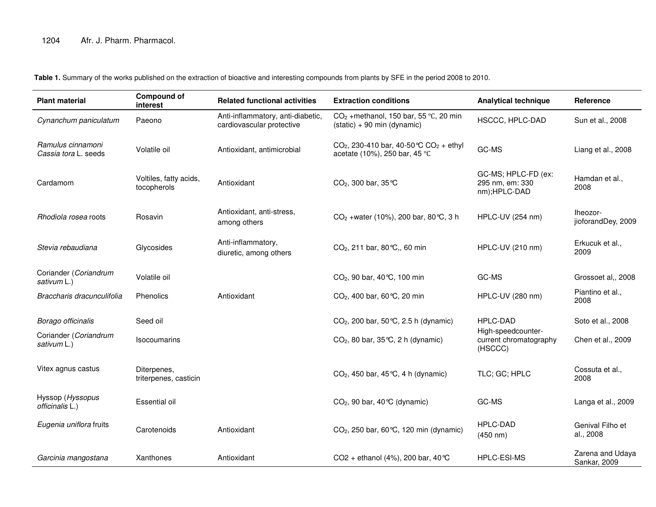**Table 1.** Summary of the works published on the extraction of bioactive and interesting compounds from plants by SFE in the period 2008 to 2010.

| <b>Plant material</b>                     | <b>Compound of</b><br>interest        | <b>Related functional activities</b>                           | <b>Extraction conditions</b>                                                                     | <b>Analytical technique</b>                             | Reference                        |
|-------------------------------------------|---------------------------------------|----------------------------------------------------------------|--------------------------------------------------------------------------------------------------|---------------------------------------------------------|----------------------------------|
| Cynanchum paniculatum                     | Paeono                                | Anti-inflammatory, anti-diabetic,<br>cardiovascular protective | $CO2$ +methanol, 150 bar, 55 °C, 20 min<br>$(statc) + 90$ min (dynamic)                          | HSCCC, HPLC-DAD                                         | Sun et al., 2008                 |
| Ramulus cinnamoni<br>Cassia tora L. seeds | Volatile oil                          | Antioxidant, antimicrobial                                     | CO <sub>2</sub> , 230-410 bar, 40-50 °C CO <sub>2</sub> + ethyl<br>acetate (10%), 250 bar, 45 °C | GC-MS                                                   | Liang et al., 2008               |
| Cardamom                                  | Voltiles, fatty acids,<br>tocopherols | Antioxidant                                                    | $CO2$ , 300 bar, 35 °C                                                                           | GC-MS; HPLC-FD (ex:<br>295 nm, em: 330<br>nm);HPLC-DAD  | Hamdan et al.,<br>2008           |
| Rhodiola rosea roots                      | Rosavin                               | Antioxidant, anti-stress,<br>among others                      | CO <sub>2</sub> + water (10%), 200 bar, 80 °C, 3 h                                               | HPLC-UV (254 nm)                                        | lheozor-<br>jioforandDey, 2009   |
| Stevia rebaudiana                         | Glycosides                            | Anti-inflammatory,<br>diuretic, among others                   | $CO2$ , 211 bar, 80 °C,, 60 min                                                                  | HPLC-UV (210 nm)                                        | Erkucuk et al.,<br>2009          |
| Coriander (Coriandrum<br>sativum L.)      | Volatile oil                          |                                                                | CO <sub>2</sub> , 90 bar, 40 °C, 100 min                                                         | GC-MS                                                   | Grossoet al,, 2008               |
| Braccharis dracunculifolia                | Phenolics                             | Antioxidant                                                    | $CO2$ , 400 bar, 60 °C, 20 min                                                                   | HPLC-UV (280 nm)                                        | Piantino et al.,<br>2008         |
| Borago officinalis                        | Seed oil                              |                                                                | CO <sub>2</sub> , 200 bar, 50 °C, 2.5 h (dynamic)                                                | HPLC-DAD                                                | Soto et al., 2008                |
| Coriander (Coriandrum<br>sativum L.)      | <b>Isocoumarins</b>                   |                                                                | $CO2$ , 80 bar, 35 °C, 2 h (dynamic)                                                             | High-speedcounter-<br>current chromatography<br>(HSCCC) | Chen et al., 2009                |
| Vitex agnus castus                        | Diterpenes,<br>triterpenes, casticin  |                                                                | $CO2$ , 450 bar, 45 °C, 4 h (dynamic)                                                            | TLC; GC; HPLC                                           | Cossuta et al.,<br>2008          |
| Hyssop (Hyssopus<br>officinalis L.)       | Essential oil                         |                                                                | $CO2$ , 90 bar, 40 °C (dynamic)                                                                  | GC-MS                                                   | Langa et al., 2009               |
| Eugenia uniflora fruits                   | Carotenoids                           | Antioxidant                                                    | CO <sub>2</sub> , 250 bar, 60 °C, 120 min (dynamic)                                              | <b>HPLC-DAD</b><br>(450 nm)                             | Genival Filho et<br>al., 2008    |
| Garcinia mangostana                       | Xanthones                             | Antioxidant                                                    | CO2 + ethanol (4%), 200 bar, 40 °C                                                               | <b>HPLC-ESI-MS</b>                                      | Zarena and Udaya<br>Sankar, 2009 |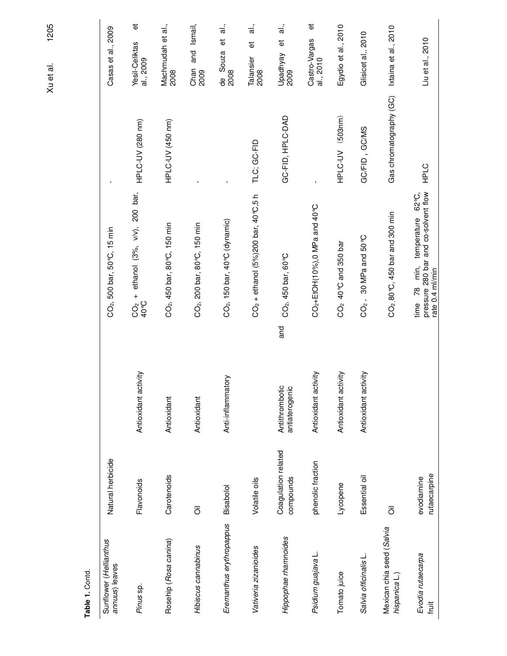| Table 1. Contd.                            |                                  |                                         |                                                                                              |                         |                                                    |
|--------------------------------------------|----------------------------------|-----------------------------------------|----------------------------------------------------------------------------------------------|-------------------------|----------------------------------------------------|
| Sunflower (Hellianthus<br>annuus) leaves   | Natural herbicide                |                                         | $CO2$ , 500 bar, 50 $^{\circ}$ C, 15 min                                                     |                         | Casas et al., 2009                                 |
| Pinus sp.                                  | Flavonoids                       | Antioxidant activity                    | ethanol (3%, v/v), 200 bar,<br>$\ddot{}$<br>40°C<br>$\widetilde{C}^2$                        | HPLC-UV (280 nm)        | $\overline{\Phi}$<br>Yesil-Celiktas<br>al., 2009   |
| Rosehip (Rosa canina)                      | Carotenoids                      | Antioxidant                             | CO <sub>2</sub> , 450 bar, 80°C, 150 min                                                     | HPLC-UV (450 nm)        | Machmudah et al.,<br>2008                          |
| Hibiscus cannabinus                        | $\overline{\overline{O}}$        | Antioxidant                             | CO <sub>2</sub> , 200 bar, 80°C, 150 min                                                     |                         | Ismail,<br>and<br>Chan<br>2009                     |
| Eremanthus erythropappus                   | Bisabolol                        | Anti-inflammatory                       | CO <sub>2</sub> , 150 bar, 40°C (dynamic)                                                    |                         | $\frac{1}{\overline{a}}$<br>ťΦ<br>de Souza<br>2008 |
| Vativeria zizanioides                      | Volatile oils                    |                                         | $CO2 + ethanol$ (5%)200 bar, 40 °C,5 h                                                       | TLC; GC-FID             | $\vec{a}$<br>$\vec{\omega}$<br>Talansier<br>2008   |
| Hippophae mamnoides                        | Coagulation related<br>compounds | and<br>Antithrombotic<br>antiaterogenic | CO <sub>2</sub> , 450 bar, 60 °C                                                             | GC-FID, HPLC-DAD        | <u>.</u><br>ಸ<br>õ<br>Upadhyay<br>2009             |
| Psidium guajava L.                         | phenolic fraction                | Antioxidant activity                    | CO <sub>2</sub> +EtOH(10%), 0 MPa and 40 °C                                                  | $\mathbf{I}$            | đ<br>Castro-Vargas<br>al., 2010                    |
| Tomato juice                               | Lycopene                         | Antioxidant activity                    | CO <sub>2</sub> 40 °C and 350 bar                                                            | HPLC-UV (503nm)         | Egydio et al., 2010                                |
| Salvia officinalis L.                      | Essential oil                    | Antioxidant activity                    | 30 MPa and 50 °C<br>$CO2$ ,                                                                  | GC/FID, GC/MS           | Glisicet al,, 2010                                 |
| Mexican chia seed (Salvia<br>hispanica L.) | $\overline{\overline{O}}$        |                                         | $CO2$ , 80 °C, 450 bar and 300 min                                                           | Gas chromatography (GC) | Ixtaina et al., 2010                               |
| Evodia rutaecarpa<br>fruit                 | rutaecarpine<br>evodiamine       |                                         | pressure 280 bar and co-solvent flow<br>min, temperature 62°C,<br>rate 0.4 ml/min<br>time 78 | <b>HPLC</b>             | Liu et al., 2010                                   |

1205 Xu et al. 1205 Xu et al.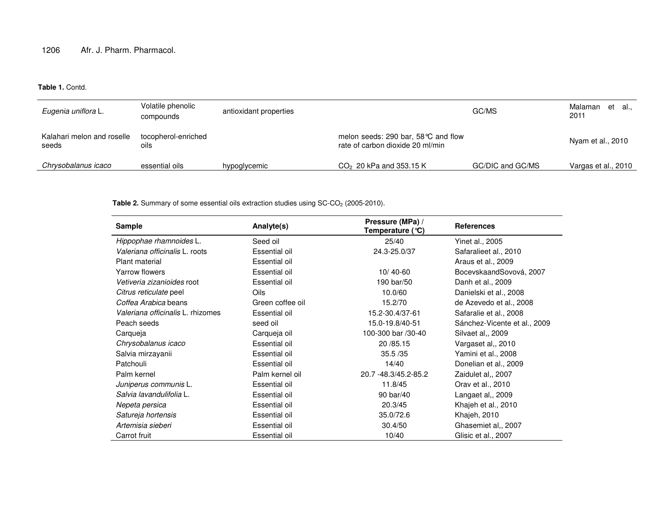**Table 1.** Contd.

| Eugenia uniflora L.                 | Volatile phenolic<br>compounds | antioxidant properties |                                                                         | GC/MS            | Malaman et al.,<br>2011 |
|-------------------------------------|--------------------------------|------------------------|-------------------------------------------------------------------------|------------------|-------------------------|
| Kalahari melon and roselle<br>seeds | tocopherol-enriched<br>oils    |                        | melon seeds: 290 bar, 58 ℃ and flow<br>rate of carbon dioxide 20 ml/min |                  | Nyam et al., 2010       |
| Chrysobalanus icaco                 | essential oils                 | hypoglycemic           | $CO2$ 20 kPa and 353.15 K                                               | GC/DIC and GC/MS | Vargas et al., 2010     |

**Table 2.** Summary of some essential oils extraction studies using SC-CO<sub>2</sub> (2005-2010).

| <b>Sample</b>                     | Pressure (MPa) /<br>Analyte(s)<br>Temperature (°C) |                          | <b>References</b>            |  |
|-----------------------------------|----------------------------------------------------|--------------------------|------------------------------|--|
| Hippophae rhamnoides L.           | Seed oil                                           | 25/40<br>Yinet al., 2005 |                              |  |
| Valeriana officinalis L. roots    | Essential oil                                      | 24.3-25.0/37             | Safaralieet al., 2010        |  |
| Plant material                    | Essential oil                                      |                          | Araus et al., 2009           |  |
| Yarrow flowers                    | Essential oil                                      | $10/40 - 60$             | BocevskaandSovová, 2007      |  |
| Vetiveria zizanioides root        | Essential oil                                      | 190 bar/50               | Danh et al., 2009            |  |
| Citrus reticulate peel            | Oils                                               | 10.0/60                  | Danielski et al., 2008       |  |
| Coffea Arabica beans              | Green coffee oil                                   | 15.2/70                  | de Azevedo et al., 2008      |  |
| Valeriana officinalis L. rhizomes | Essential oil                                      | 15.2-30.4/37-61          | Safaralie et al., 2008       |  |
| Peach seeds                       | seed oil                                           | 15.0-19.8/40-51          | Sánchez-Vicente et al., 2009 |  |
| Carqueja                          | Carqueja oil                                       | 100-300 bar /30-40       | Silvaet al., 2009            |  |
| Chrysobalanus icaco               | Essential oil                                      | 20 / 85.15               | Vargaset al,, 2010           |  |
| Salvia mirzayanii                 | Essential oil                                      | 35.5 / 35                | Yamini et al., 2008          |  |
| Patchouli                         | Essential oil                                      | 14/40                    | Donelian et al., 2009        |  |
| Palm kernel                       | Palm kernel oil                                    | 20.7 -48.3/45.2-85.2     | Zaidulet al., 2007           |  |
| Juniperus communis L.             | Essential oil                                      | 11.8/45                  | Orav et al., 2010            |  |
| Salvia lavandulifolia L.          | Essential oil                                      | 90 bar/40                | Langaet al., 2009            |  |
| Nepeta persica                    | Essential oil                                      | 20.3/45                  | Khajeh et al., 2010          |  |
| Satureja hortensis                | Essential oil                                      | 35.0/72.6                | Khajeh, 2010                 |  |
| Artemisia sieberi                 | Essential oil                                      | 30.4/50                  | Ghasemiet al,, 2007          |  |
| Carrot fruit                      | Essential oil                                      | 10/40                    | Glisic et al., 2007          |  |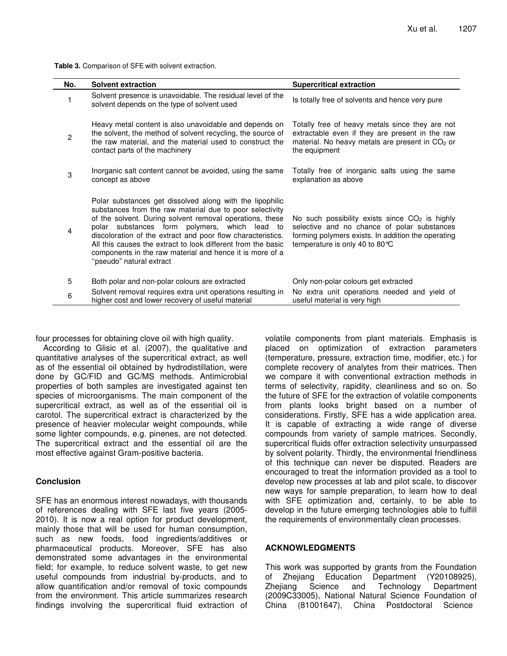**Table 3.** Comparison of SFE with solvent extraction.

| No.            | <b>Solvent extraction</b>                                                                                                                                                                                                                                                                                                                                                                                                                                | <b>Supercritical extraction</b>                                                                                                                                                          |
|----------------|----------------------------------------------------------------------------------------------------------------------------------------------------------------------------------------------------------------------------------------------------------------------------------------------------------------------------------------------------------------------------------------------------------------------------------------------------------|------------------------------------------------------------------------------------------------------------------------------------------------------------------------------------------|
|                | Solvent presence is unavoidable. The residual level of the<br>solvent depends on the type of solvent used                                                                                                                                                                                                                                                                                                                                                | Is totally free of solvents and hence very pure                                                                                                                                          |
| $\overline{c}$ | Heavy metal content is also unavoidable and depends on<br>the solvent, the method of solvent recycling, the source of<br>the raw material, and the material used to construct the<br>contact parts of the machinery                                                                                                                                                                                                                                      | Totally free of heavy metals since they are not<br>extractable even if they are present in the raw<br>material. No heavy metals are present in CO <sub>2</sub> or<br>the equipment       |
| 3              | Inorganic salt content cannot be avoided, using the same<br>concept as above                                                                                                                                                                                                                                                                                                                                                                             | Totally free of inorganic salts using the same<br>explanation as above                                                                                                                   |
| 4              | Polar substances get dissolved along with the lipophilic<br>substances from the raw material due to poor selectivity<br>of the solvent. During solvent removal operations, these<br>polar substances form polymers, which lead to<br>discoloration of the extract and poor flow characteristics.<br>All this causes the extract to look different from the basic<br>components in the raw material and hence it is more of a<br>"pseudo" natural extract | No such possibility exists since $CO2$ is highly<br>selective and no chance of polar substances<br>forming polymers exists. In addition the operating<br>temperature is only 40 to 80 °C |
| 5              | Both polar and non-polar colours are extracted                                                                                                                                                                                                                                                                                                                                                                                                           | Only non-polar colours get extracted                                                                                                                                                     |
| 6              | Solvent removal requires extra unit operations resulting in<br>higher cost and lower recovery of useful material                                                                                                                                                                                                                                                                                                                                         | No extra unit operations needed and yield of<br>useful material is very high                                                                                                             |

four processes for obtaining clove oil with high quality.

According to Glisic et al. (2007), the qualitative and quantitative analyses of the supercritical extract, as well as of the essential oil obtained by hydrodistillation, were done by GC/FID and GC/MS methods. Antimicrobial properties of both samples are investigated against ten species of microorganisms. The main component of the supercritical extract, as well as of the essential oil is carotol. The supercritical extract is characterized by the presence of heavier molecular weight compounds, while some lighter compounds, e.g. pinenes, are not detected. The supercritical extract and the essential oil are the most effective against Gram-positive bacteria.

#### **Conclusion**

SFE has an enormous interest nowadays, with thousands of references dealing with SFE last five years (2005- 2010). It is now a real option for product development, mainly those that will be used for human consumption, such as new foods, food ingredients/additives or pharmaceutical products. Moreover, SFE has also demonstrated some advantages in the environmental field; for example, to reduce solvent waste, to get new useful compounds from industrial by-products, and to allow quantification and/or removal of toxic compounds from the environment. This article summarizes research findings involving the supercritical fluid extraction of

volatile components from plant materials. Emphasis is placed on optimization of extraction parameters (temperature, pressure, extraction time, modifier, etc.) for complete recovery of analytes from their matrices. Then we compare it with conventional extraction methods in terms of selectivity, rapidity, cleanliness and so on. So the future of SFE for the extraction of volatile components from plants looks bright based on a number of considerations. Firstly, SFE has a wide application area. It is capable of extracting a wide range of diverse compounds from variety of sample matrices. Secondly, supercritical fluids offer extraction selectivity unsurpassed by solvent polarity. Thirdly, the environmental friendliness of this technique can never be disputed. Readers are encouraged to treat the information provided as a tool to develop new processes at lab and pilot scale, to discover new ways for sample preparation, to learn how to deal with SFE optimization and, certainly, to be able to develop in the future emerging technologies able to fulfill the requirements of environmentally clean processes.

#### **ACKNOWLEDGMENTS**

This work was supported by grants from the Foundation of Zhejiang Education Department (Y20108925), Zhejiang Science and Technology Department (2009C33005), National Natural Science Foundation of China (81001647), China Postdoctoral Science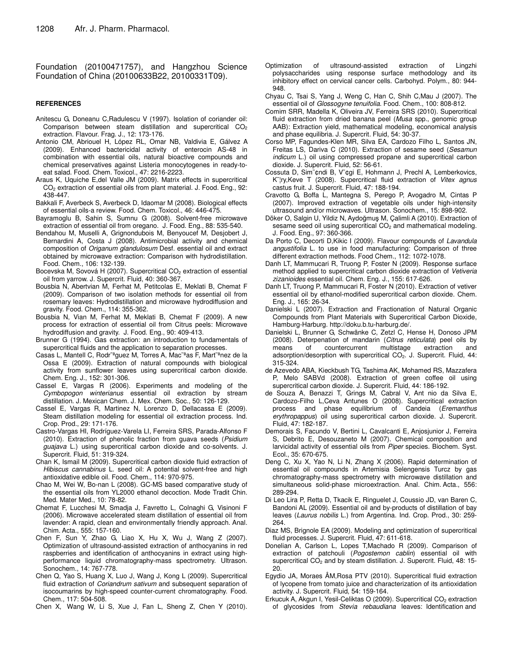Foundation (20100471757), and Hangzhou Science Foundation of China (20100633B22, 20100331T09).

#### **REFERENCES**

- Anitescu G, Doneanu C,Radulescu V (1997). Isolation of coriander oil: Comparison between steam distillation and supercritical  $CO<sub>2</sub>$ extraction. Flavour. Frag. J., 12: 173-176.
- Antonio CM, Abriouel H, López RL, Omar NB, Valdivia E, Gálvez A (2009). Enhanced bactericidal activity of enterocin AS-48 in combination with essential oils, natural bioactive compounds and chemical preservatives against Listeria monocytogenes in ready-toeat salad. Food. Chem. Toxicol., 47: 2216-2223.
- Araus K, Uquiche E,del Valle JM (2009). Matrix effects in supercritical CO<sup>2</sup> extraction of essential oils from plant material. J. Food. Eng., 92: 438-447.
- Bakkali F, Averbeck S, Averbeck D, Idaomar M (2008). Biological effects of essential oils-a review. Food. Chem. Toxicol., 46: 446-475.
- Bayramoglu B, Sahin S, Sumnu G (2008). Solvent-free microwave extraction of essential oil from oregano. J. Food. Eng., 88: 535-540.
- Bendahou M, Muselli A, Grignondubois M, Benyoucef M, Desjobert J, Bernardini A, Costa J (2008). Antimicrobial activity and chemical composition of *Origanum glandulosum* Desf. essential oil and extract obtained by microwave extraction: Comparison with hydrodistillation. Food. Chem., 106: 132-139.
- Bocevska M, Sovová H (2007). Supercritical CO<sub>2</sub> extraction of essential oil from yarrow. J. Supercrit. Fluid, 40: 360-367.
- Bousbia N, Abertvian M, Ferhat M, Petitcolas E, Meklati B, Chemat F (2009). Comparison of two isolation methods for essential oil from rosemary leaves: Hydrodistillation and microwave hydrodiffusion and gravity. Food. Chem., 114: 355-362.
- Bousbia N, Vian M, Ferhat M, Meklati B, Chemat F (2009). A new process for extraction of essential oil from Citrus peels: Microwave hydrodiffusion and gravity. J. Food. Eng., 90: 409-413.
- Brunner G (1994). Gas extraction: an introduction to fundamentals of supercritical fluids and the application to separation processes.
- Casas L, Mantell C, Rodr¨ªguez M, Torres A, Mac¨ªas F, Mart¨ªnez de la Ossa E (2009). Extraction of natural compounds with biological activity from sunflower leaves using supercritical carbon dioxide. Chem. Eng. J., 152: 301-306.
- Cassel E, Vargas R (2006). Experiments and modeling of the *Cymbopogon winterianus* essential oil extraction by stream distillation. J. Mexican Chem. J. Mex. Chem. Soc., 50: 126-129.
- Cassel E, Vargas R, Martinez N, Lorenzo D, Dellacassa E (2009). Steam distillation modeling for essential oil extraction process. Ind. Crop. Prod., 29: 171-176.
- Castro-Vargas HI, Rodríguez-Varela LI, Ferreira SRS, Parada-Alfonso F (2010). Extraction of phenolic fraction from guava seeds (*Psidium guajava* L.) using supercritical carbon dioxide and co-solvents. J. Supercrit. Fluid, 51: 319-324.
- Chan K, Ismail M (2009). Supercritical carbon dioxide fluid extraction of *Hibiscus cannabinus* L. seed oil: A potential solvent-free and high antioxidative edible oil. Food. Chem., 114: 970-975.
- Chao M, Wei W, Bo-nan L (2008). GC-MS based comparative study of the essential oils from YL2000 ethanol decoction. Mode Tradit Chin. Med. Mater Med., 10: 78-82.
- Chemat F, Lucchesi M, Smadja J, Favretto L, Colnaghi G, Visinoni F (2006). Microwave accelerated steam distillation of essential oil from lavender: A rapid, clean and environmentally friendly approach. Anal. Chim. Acta., 555: 157-160.
- Chen F, Sun Y, Zhao G, Liao X, Hu X, Wu J, Wang Z (2007). Optimization of ultrasound-assisted extraction of anthocyanins in red raspberries and identification of anthocyanins in extract using highperformance liquid chromatography-mass spectrometry. Ultrason. Sonochem., 14: 767-778.
- Chen Q, Yao S, Huang X, Luo J, Wang J, Kong L (2009). Supercritical fluid extraction of *Coriandrum sativum* and subsequent separation of isocoumarins by high-speed counter-current chromatography. Food. Chem., 117: 504-508.
- Chen X, Wang W, Li S, Xue J, Fan L, Sheng Z, Chen Y (2010).
- Optimization of ultrasound-assisted extraction of Lingzhi polysaccharides using response surface methodology and its inhibitory effect on cervical cancer cells. Carbohyd. Polym., 80: 944- 948.
- Chyau C, Tsai S, Yang J, Weng C, Han C, Shih C,Mau J (2007). The essential oil of *Glossogyne tenuifolia*. Food. Chem., 100: 808-812.
- Comim SRR, Madella K, Oliveira JV, Ferreira SRS (2010). Supercritical fluid extraction from dried banana peel (*Musa* spp., genomic group AAB): Extraction yield, mathematical modeling, economical analysis and phase equilibria. J. Supercrit. Fluid, 54: 30-37.
- Corso MP, Fagundes-Klen MR, Silva EA, Cardozo Filho L, Santos JN, Freitas LS, Dariva C (2010). Extraction of sesame seed (*Sesamun indicum* L.) oil using compressed propane and supercritical carbon dioxide. J. Supercrit. Fluid, 52: 56-61.
- Cossuta D, Sim¨¢ndi B, V¨¢gi E, Hohmann J, Prechl A, Lemberkovics, K¨¦ry,Keve T (2008). Supercritical fluid extraction of *Vitex agnus* castus fruit. J. Supercrit. Fluid, 47: 188-194.
- Cravotto G, Boffa L, Mantegna S, Perego P, Avogadro M, Cintas P (2007). Improved extraction of vegetable oils under high-intensity ultrasound and/or microwaves. Ultrason. Sonochem., 15: 898-902.
- Döker O, Salgin U, Yildiz N, Aydoğmuş M, Çalimli A (2010). Extraction of sesame seed oil using supercritical  $CO<sub>2</sub>$  and mathematical modeling. J. Food. Eng., 97: 360-366.
- Da Porto C, Decorti D,Kikic I (2009). Flavour compounds of *Lavandula angustifolia* L. to use in food manufacturing: Comparison of three different extraction methods. Food Chem., 112: 1072-1078.
- Danh LT, Mammucari R, Truong P, Foster N (2009). Response surface method applied to supercritical carbon dioxide extraction of *Vetiveria zizanioides* essential oil. Chem. Eng. J., 155: 617-626.
- Danh LT, Truong P, Mammucari R, Foster N (2010). Extraction of vetiver essential oil by ethanol-modified supercritical carbon dioxide. Chem. Eng. J., 165: 26-34.
- Danielski L (2007). Extraction and Fractionation of Natural Organic Compounds from Plant Materials with Supercritical Carbon Dioxide, Hamburg-Harburg. http://doku.b.tu-harburg.de/.
- Danielski L, Brunner G, Schwänke C, Zetzl C, Hense H, Donoso JPM (2008). Deterpenation of mandarin (*Citrus reticulata*) peel oils by means of countercurrent multistage extraction and adsorption/desorption with supercritical CO<sub>2</sub>. J. Supercrit. Fluid, 44: 315-324.
- de Azevedo ABA, Kieckbush TG, Tashima AK, Mohamed RS, Mazzafera P, Melo SABVd (2008). Extraction of green coffee oil using supercritical carbon dioxide. J. Supercrit. Fluid, 44: 186-192.
- de Souza A, Benazzi T, Grings M, Cabral V, Ant nio da Silva E, Cardozo-Filho L,Ceva Antunes O (2008). Supercritical extraction process and phase equilibrium of Candeia (*Eremanthus erythropappus*) oil using supercritical carbon dioxide. J. Supercrit. Fluid, 47: 182-187.
- Demorais S, Facundo V, Bertini L, Cavalcanti E, Anjosjunior J, Ferreira S, Debrito E, Desouzaneto M (2007). Chemical composition and larvicidal activity of essential oils from *Piper* species. Biochem. Syst. Ecol., 35: 670-675.
- Deng C, Xu X, Yao N, Li N, Zhang X (2006). Rapid determination of essential oil compounds in Artemisia Selengensis Turcz by gas chromatography-mass spectrometry with microwave distillation and simultaneous solid-phase microextraction. Anal. Chim. Acta., 556: 289-294.
- Di Leo Lira P, Retta D, Tkacik E, Ringuelet J, Coussio JD, van Baren C, Bandoni AL (2009). Essential oil and by-products of distillation of bay leaves (*Laurus nobilis* L.) from Argentina. Ind. Crop. Prod., 30: 259- 264.
- Diaz MS, Brignole EA (2009). Modeling and optimization of supercritical fluid processes. J. Supercrit. Fluid, 47: 611-618.
- Donelian A, Carlson L, Lopes T,Machado R (2009). Comparison of extraction of patchouli (*Pogostemon cablin*) essential oil with supercritical CO<sub>2</sub> and by steam distillation. J. Supercrit. Fluid, 48: 15-20.
- Egydio JA, Moraes ÂM,Rosa PTV (2010). Supercritical fluid extraction of lycopene from tomato juice and characterization of its antioxidation activity. J. Supercrit. Fluid, 54: 159-164.
- Erkucuk A, Akgun I, Yesil-Celiktas O (2009). Supercritical  $CO<sub>2</sub>$  extraction of glycosides from *Stevia rebaudiana* leaves: Identification and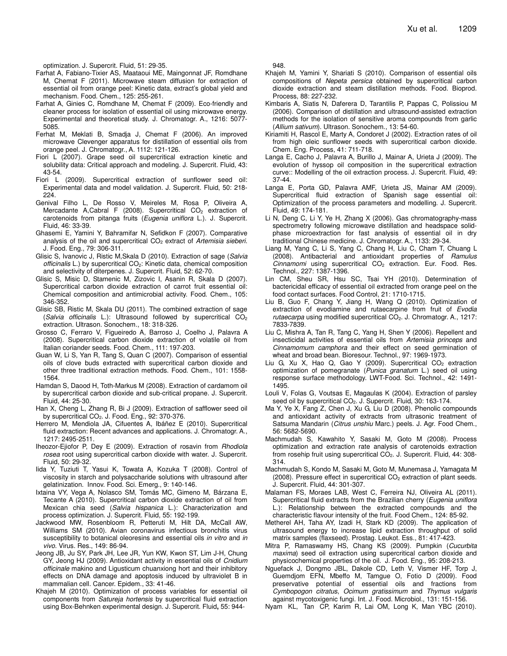optimization. J. Supercrit. Fluid, 51: 29-35.

- Farhat A, Fabiano-Tixier AS, Maataoui ME, Maingonnat JF, Romdhane M, Chemat F (2011). Microwave steam diffusion for extraction of essential oil from orange peel: Kinetic data, extract's global yield and mechanism. Food. Chem., 125: 255-261.
- Farhat A, Ginies C, Romdhane M, Chemat F (2009). Eco-friendly and cleaner process for isolation of essential oil using microwave energy. Experimental and theoretical study. J. Chromatogr. A., 1216: 5077- 5085.
- Ferhat M, Meklati B, Smadja J, Chemat F (2006). An improved microwave Clevenger apparatus for distillation of essential oils from orange peel. J. Chromatogr., A. 1112: 121-126.
- Fiori L (2007). Grape seed oil supercritical extraction kinetic and solubility data: Critical approach and modeling. J. Supercrit. Fluid, 43: 43-54.
- Fiori L (2009). Supercritical extraction of sunflower seed oil: Experimental data and model validation. J. Supercrit. Fluid, 50: 218- 224.
- Genival Filho L, De Rosso V, Meireles M, Rosa P, Oliveira A, Mercadante A,Cabral F (2008). Supercritical  $CO<sub>2</sub>$  extraction of carotenoids from pitanga fruits (*Eugenia uniflora* L.). J. Supercrit. Fluid, 46: 33-39.
- Ghasemi E, Yamini Y, Bahramifar N, Sefidkon F (2007). Comparative analysis of the oil and supercritical CO<sub>2</sub> extract of *Artemisia sieberi*. J. Food. Eng., 79: 306-311.
- Glisic S, Ivanovic J, Ristic M,Skala D (2010). Extraction of sage (*Salvia officinalis* L.) by supercritical CO2: Kinetic data, chemical composition and selectivity of diterpenes. J. Supercrit. Fluid, 52: 62-70.
- Glisic S, Misic D, Stamenic M, Zizovic I, Asanin R, Skala D (2007). Supercritical carbon dioxide extraction of carrot fruit essential oil: Chemical composition and antimicrobial activity. Food. Chem., 105: 346-352.
- Glisic SB, Ristic M, Skala DU (2011). The combined extraction of sage (*Salvia officinalis* L.): Ultrasound followed by supercritical CO<sub>2</sub> extraction. Ultrason. Sonochem., 18: 318-326.
- Grosso C, Ferraro V, Figueiredo A, Barroso J, Coelho J, Palavra A (2008). Supercritical carbon dioxide extraction of volatile oil from Italian coriander seeds. Food. Chem., 111: 197-203.
- Guan W, Li S, Yan R, Tang S, Quan C (2007). Comparison of essential oils of clove buds extracted with supercritical carbon dioxide and other three traditional extraction methods. Food. Chem., 101: 1558- 1564.
- Hamdan S, Daood H, Toth-Markus M (2008). Extraction of cardamom oil by supercritical carbon dioxide and sub-critical propane. J. Supercrit. Fluid, 44: 25-30.
- Han X, Cheng L, Zhang R, Bi J (2009). Extraction of safflower seed oil by supercritical  $CO<sub>2</sub>$ . J. Food. Eng., 92: 370-376.
- Herrero M, Mendiola JA, Cifuentes A, Ibáñez E (2010). Supercritical fluid extraction: Recent advances and applications. J. Chromatogr. A., 1217: 2495-2511.
- Iheozor-Ejiofor P, Dey E (2009). Extraction of rosavin from *Rhodiola rosea* root using supercritical carbon dioxide with water. J. Supercrit. Fluid, 50: 29-32.
- Iida Y, Tuziuti T, Yasui K, Towata A, Kozuka T (2008). Control of viscosity in starch and polysaccharide solutions with ultrasound after gelatinization. Innov. Food. Sci. Emerg., 9: 140-146.
- Ixtaina VY, Vega A, Nolasco SM, Tomás MC, Gimeno M, Bárzana E, Tecante A (2010). Supercritical carbon dioxide extraction of oil from Mexican chia seed (*Salvia hispanica* L.): Characterization and process optimization. J. Supercrit. Fluid, 55: 192-199.
- Jackwood MW, Rosenbloom R, Petteruti M, Hilt DA, McCall AW, Williams SM (2010). Avian coronavirus infectious bronchitis virus susceptibility to botanical oleoresins and essential oils *in vitro* and *in vivo*. Virus. Res., 149: 86-94.
- Jeong JB, Ju SY, Park JH, Lee JR, Yun KW, Kwon ST, Lim J-H, Chung GY, Jeong HJ (2009). Antioxidant activity in essential oils of *Cnidium officinale* makino and Ligusticum chuanxiong hort and their inhibitory effects on DNA damage and apoptosis induced by ultraviolet B in mammalian cell. Cancer. Epidem., 33: 41-46.
- Khajeh M (2010). Optimization of process variables for essential oil components from *Satureja hortensis* by supercritical fluid extraction using Box-Behnken experimental design. J. Supercrit. Fluid**,** 55: 944-

948.

- Khajeh M, Yamini Y, Shariati S (2010). Comparison of essential oils compositions of *Nepeta persica* obtained by supercritical carbon dioxide extraction and steam distillation methods. Food. Bioprod. Process, 88: 227-232.
- Kimbaris A, Siatis N, Daferera D, Tarantilis P, Pappas C, Polissiou M (2006). Comparison of distillation and ultrasound-assisted extraction methods for the isolation of sensitive aroma compounds from garlic (*Allium sativum*). Ultrason. Sonochem., 13: 54-60.
- Kiriamiti H, Rascol E, Marty A, Condoret J (2002). Extraction rates of oil from high oleic sunflower seeds with supercritical carbon dioxide. Chem. Eng. Process, 41: 711-718.
- Langa E, Cacho J, Palavra A, Burillo J, Mainar A, Urieta J (2009). The evolution of hyssop oil composition in the supercritical extraction curve:: Modelling of the oil extraction process. J. Supercrit. Fluid, 49: 37-44.
- Langa E, Porta GD, Palavra AMF, Urieta JS, Mainar AM (2009). Supercritical fluid extraction of Spanish sage essential oil: Optimization of the process parameters and modelling. J. Supercrit. Fluid, 49: 174-181.
- Li N, Deng C, Li Y, Ye H, Zhang X (2006). Gas chromatography-mass spectrometry following microwave distillation and headspace solidphase microextraction for fast analysis of essential oil in dry traditional Chinese medicine. J. Chromatogr. A., 1133: 29-34.
- Liang M, Yang C, Li S, Yang C, Chang H, Liu C, Cham T, Chuang L (2008). Antibacterial and antioxidant properties of *Ramulus Cinnamomi* using supercritical CO<sub>2</sub> extraction. Eur. Food. Res. Technol., 227: 1387-1396.
- Lin CM, Sheu SR, Hsu SC, Tsai YH (2010). Determination of bactericidal efficacy of essential oil extracted from orange peel on the food contact surfaces. Food Control, 21: 1710-1715.
- Liu B, Guo F, Chang Y, Jiang H, Wang Q (2010). Optimization of extraction of evodiamine and rutaecarpine from fruit of *Evodia rutaecarpa* using modified supercritical CO<sub>2</sub>. J. Chromatogr. A., 1217: 7833-7839.
- Liu C, Mishra A, Tan R, Tang C, Yang H, Shen Y (2006). Repellent and insecticidal activities of essential oils from *Artemisia princeps* and *Cinnamomum camphora* and their effect on seed germination of wheat and broad bean. Bioresour. Technol., 97: 1969-1973.
- Liu G, Xu X, Hao Q, Gao Y (2009). Supercritical  $CO<sub>2</sub>$  extraction optimization of pomegranate (*Punica granatum* L.) seed oil using response surface methodology. LWT-Food. Sci. Technol., 42: 1491- 1495.
- Louli V, Folas G, Voutsas E, Magaulas K (2004). Extraction of parsley seed oil by supercritical CO<sub>2</sub>. J. Supercrit. Fluid, 30: 163-174.
- Ma Y, Ye X, Fang Z, Chen J, Xu G, Liu D (2008). Phenolic compounds and antioxidant activity of extracts from ultrasonic treatment of Satsuma Mandarin (*Citrus unshiu* Marc.) peels. J. Agr. Food Chem., 56: 5682-5690.
- Machmudah S, Kawahito Y, Sasaki M, Goto M (2008). Process optimization and extraction rate analysis of carotenoids extraction from rosehip fruit using supercritical CO<sub>2</sub>. J. Supercrit. Fluid, 44: 308-314.
- Machmudah S, Kondo M, Sasaki M, Goto M, Munemasa J, Yamagata M (2008). Pressure effect in supercritical  $CO<sub>2</sub>$  extraction of plant seeds. J. Supercrit. Fluid, 44: 301-307.
- Malaman FS, Moraes LAB, West C, Ferreira NJ, Oliveira AL (2011). Supercritical fluid extracts from the Brazilian cherry (*Eugenia uniflora* L.): Relationship between the extracted compounds and the characteristic flavour intensity of the fruit. Food Chem., 124: 85-92.
- Metherel AH, Taha AY, Izadi H, Stark KD (2009). The application of ultrasound energy to increase lipid extraction throughput of solid matrix samples (flaxseed). Prostag. Leukot. Ess., 81: 417-423.
- Mitra P, Ramaswamy HS, Chang KS (2009). Pumpkin (*Cucurbita maxima*) seed oil extraction using supercritical carbon dioxide and physicochemical properties of the oil. J. Food. Eng., 95: 208-213.
- Nguefack J, Dongmo JBL, Dakole CD, Leth V, Vismer HF, Torp J, Guemdjom EFN, Mbeffo M, Tamgue O, Fotio D (2009). Food preservative potential of essential oils and fractions from *Cymbopogon citratus*, *Ocimum gratissimum* and *Thymus vulgaris* against mycotoxigenic fungi. Int. J. Food. Microbiol., 131: 151-156.
- Nyam KL, Tan CP, Karim R, Lai OM, Long K, Man YBC (2010).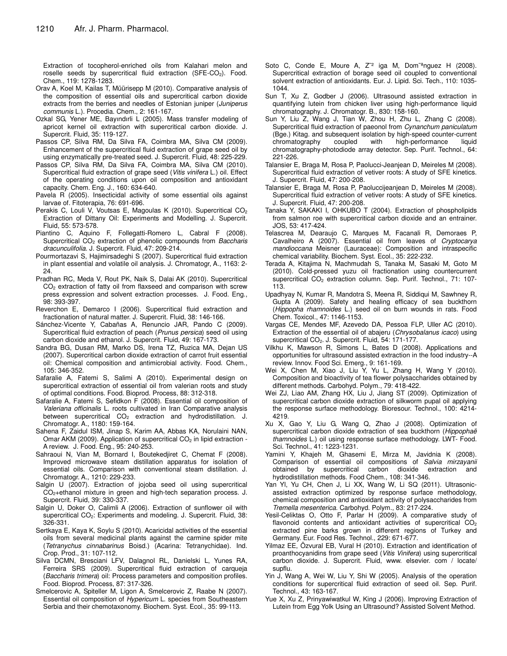Extraction of tocopherol-enriched oils from Kalahari melon and roselle seeds by supercritical fluid extraction  $(SFE-CO<sub>2</sub>)$ . Food. Chem., 119: 1278-1283.

- Orav A, Koel M, Kailas T, Müürisepp M (2010). Comparative analysis of the composition of essential oils and supercritical carbon dioxide extracts from the berries and needles of Estonian juniper (*Juniperus communis* L.). Procedia. Chem., 2: 161-167.
- Ozkal SG, Yener ME, Bayındırli L (2005). Mass transfer modeling of apricot kernel oil extraction with supercritical carbon dioxide. J. Supercrit. Fluid, 35: 119-127.
- Passos CP, Silva RM, Da Silva FA, Coimbra MA, Silva CM (2009). Enhancement of the supercritical fluid extraction of grape seed oil by using enzymatically pre-treated seed. J. Supercrit. Fluid, 48: 225-229.
- Passos CP, Silva RM, Da Silva FA, Coimbra MA, Silva CM (2010). Supercritical fluid extraction of grape seed (*Vitis vinifera* L.) oil. Effect of the operating conditions upon oil composition and antioxidant capacity. Chem. Eng. J., 160: 634-640.
- Pavela R (2005). Insecticidal activity of some essential oils against larvae of. Fitoterapia, 76: 691-696.
- Perakis C, Louli V, Voutsas E, Magoulas K (2010). Supercritical CO<sub>2</sub> Extraction of Dittany Oil: Experiments and Modelling. J. Supercrit. Fluid, 55: 573-578.
- Piantino C, Aquino F, Follegatti-Romero L, Cabral F (2008). Supercritical CO<sub>2</sub> extraction of phenolic compounds from *Baccharis dracunculifolia*. J. Supercrit. Fluid, 47: 209-214.
- Pourmortazavi S, Hajimirsadeghi S (2007). Supercritical fluid extraction in plant essential and volatile oil analysis. J. Chromatogr, A., 1163: 2- 24.
- Pradhan RC, Meda V, Rout PK, Naik S, Dalai AK (2010). Supercritical CO<sub>2</sub> extraction of fatty oil from flaxseed and comparison with screw press expression and solvent extraction processes. J. Food. Eng., 98: 393-397.
- Reverchon E, Demarco I (2006). Supercritical fluid extraction and fractionation of natural matter. J. Supercrit. Fluid, 38: 146-166.
- Sánchez-Vicente Y, Cabañas A, Renuncio JAR, Pando C (2009). Supercritical fluid extraction of peach (*Prunus persica*) seed oil using carbon dioxide and ethanol. J. Supercrit. Fluid, 49: 167-173.
- Sandra BG, Dusan RM, Marko DS, Irena TZ, Ruzica MA, Dejan US (2007). Supercritical carbon dioxide extraction of carrot fruit essential oil: Chemical composition and antimicrobial activity. Food. Chem., 105: 346-352.
- Safaralie A, Fatemi S, Salimi A (2010). Experimental design on supercritical extraction of essential oil from valerian roots and study of optimal conditions. Food. Bioprod. Process, 88: 312-318.
- Safaralie A, Fatemi S, Sefidkon F (2008). Essential oil composition of *Valeriana officinalis* L. roots cultivated in Iran Comparative analysis between supercritical CO<sub>2</sub> extraction and hydrodistillation. J. Chromatogr. A., 1180: 159-164.
- Sahena F, Zaidul ISM, Jinap S, Karim AA, Abbas KA, Norulaini NAN, Omar AKM (2009). Application of supercritical  $CO<sub>2</sub>$  in lipid extraction -A review. J. Food. Eng., 95: 240-253.
- Sahraoui N, Vian M, Bornard I, Boutekedjiret C, Chemat F (2008). Improved microwave steam distillation apparatus for isolation of essential oils. Comparison with conventional steam distillation. J. Chromatogr. A., 1210: 229-233.
- Salgin U (2007). Extraction of jojoba seed oil using supercritical CO2+ethanol mixture in green and high-tech separation process. J. Supercrit. Fluid, 39: 330-337.
- Salgin U, Doker O, Calimli A (2006). Extraction of sunflower oil with supercritical CO<sub>2</sub>: Experiments and modeling. J. Supercrit. Fluid, 38: 326-331.
- Sertkaya E, Kaya K, Soylu S (2010). Acaricidal activities of the essential oils from several medicinal plants against the carmine spider mite (*Tetranychus cinnabarinus* Boisd.) (Acarina: Tetranychidae). Ind. Crop. Prod., 31: 107-112.
- Silva DCMN, Bresciani LFV, Dalagnol RL, Danielski L, Yunes RA, Ferreira SRS (2009). Supercritical fluid extraction of carqueja (*Baccharis trimera*) oil: Process parameters and composition profiles. Food. Bioprod. Process, 87: 317-326.
- Smelcerovic A, Spiteller M, Ligon A, Smelcerovic Z, Raabe N (2007). Essential oil composition of *Hypericum* L. species from Southeastern Serbia and their chemotaxonomy. Biochem. Syst. Ecol., 35: 99-113.
- Soto C, Conde E, Moure A, Z<sup>-2</sup> iga M, Dom<sup>-a</sup>nguez H (2008). Supercritical extraction of borage seed oil coupled to conventional solvent extraction of antioxidants. Eur. J. Lipid. Sci. Tech., 110: 1035- 1044.
- Sun T, Xu Z, Godber J (2006). Ultrasound assisted extraction in quantifying lutein from chicken liver using high-performance liquid chromatography. J. Chromatogr. B., 830: 158-160.
- Sun Y, Liu Z, Wang J, Tian W, Zhou H, Zhu L, Zhang C (2008). Supercritical fluid extraction of paeonol from *Cynanchum paniculatum* (Bge.) Kitag. and subsequent isolation by high-speed counter-current chromatography coupled with high-performance liquid chromatography coupled with high-performance liquid chromatography-photodiode array detector. Sep. Purif. Technol., 64: 221-226.
- Talansier E, Braga M, Rosa P, Paolucci-Jeanjean D, Meireles M (2008). Supercritical fluid extraction of vetiver roots: A study of SFE kinetics. J. Supercrit. Fluid, 47: 200-208.
- Talansier E, Braga M, Rosa P, Paoluccijeanjean D, Meireles M (2008). Supercritical fluid extraction of vetiver roots: A study of SFE kinetics. J. Supercrit. Fluid, 47: 200-208.
- Tanaka Y, SAKAKI I, OHKUBO T (2004). Extraction of phospholipids from salmon roe with supercritical carbon dioxide and an entrainer. JOS, 53: 417-424.
- Telascrea M, Dearaujo C, Marques M, Facanali R, Demoraes P, Cavalheiro A (2007). Essential oil from leaves of *Cryptocarya mandioccana* Meisner (Lauraceae): Composition and intraspecific chemical variability. Biochem. Syst. Ecol., 35: 222-232.
- Terada A, Kitajima N, Machmudah S, Tanaka M, Sasaki M, Goto M (2010). Cold-pressed yuzu oil fractionation using countercurrent supercritical CO<sub>2</sub> extraction column. Sep. Purif. Technol., 71: 107-113.
- Upadhyay N, Kumar R, Mandotra S, Meena R, Siddiqui M, Sawhney R, Gupta A (2009). Safety and healing efficacy of sea buckthorn (*Hippopha rhamnoides* L.) seed oil on burn wounds in rats. Food Chem. Toxicol., 47: 1146-1153.
- Vargas CE, Mendes MF, Azevedo DA, Pessoa FLP, Uller AC (2010). Extraction of the essential oil of abajeru (*Chrysobalanus icaco*) using supercritical CO<sub>2</sub>. J. Supercrit. Fluid, 54: 171-177.
- Vilkhu K, Mawson R, Simons L, Bates D (2008). Applications and opportunities for ultrasound assisted extraction in the food industry--A review. Innov. Food Sci. Emerg., 9: 161-169.
- Wei X, Chen M, Xiao J, Liu Y, Yu L, Zhang H, Wang Y (2010). Composition and bioactivity of tea flower polysaccharides obtained by different methods. Carbohyd. Polym., 79: 418-422.
- Wei ZJ, Liao AM, Zhang HX, Liu J, Jiang ST (2009). Optimization of supercritical carbon dioxide extraction of silkworm pupal oil applying the response surface methodology. Bioresour. Technol., 100: 4214- 4219.
- Xu X, Gao Y, Liu G, Wang Q, Zhao J (2008). Optimization of supercritical carbon dioxide extraction of sea buckthorn (*Hippophaë thamnoides* L.) oil using response surface methodology. LWT- Food. Sci. Technol., 41: 1223-1231.
- Yamini Y, Khajeh M, Ghasemi E, Mirza M, Javidnia K (2008). Comparison of essential oil compositions of *Salvia mirzayanii* obtained by supercritical carbon dioxide extraction and hydrodistillation methods. Food Chem., 108: 341-346.
- Yan Yl, Yu CH, Chen J, Li XX, Wang W, Li SQ (2011). Ultrasonicassisted extraction optimized by response surface methodology, chemical composition and antioxidant activity of polysaccharides from *Tremella mesenterica*. Carbohyd. Polym., 83: 217-224.
- Yesil-Celiktas O, Otto F, Parlar H (2009). A comparative study of flavonoid contents and antioxidant activities of supercritical  $CO<sub>2</sub>$ extracted pine barks grown in different regions of Turkey and Germany. Eur. Food Res. Technol., 229: 671-677.
- Yilmaz EE, Özvural EB, Vural H (2010). Extraction and identification of proanthocyanidins from grape seed (*Vitis Vinifera*) using supercritical carbon dioxide. J. Supercrit. Fluid, www. elsevier. com / locate/ supflu.
- Yin J, Wang A, Wei W, Liu Y, Shi W (2005). Analysis of the operation conditions for supercritical fluid extraction of seed oil. Sep. Purif. Technol., 43: 163-167.
- Yue X, Xu Z, Prinyawiwatkul W, King J (2006). Improving Extraction of Lutein from Egg Yolk Using an Ultrasound? Assisted Solvent Method.